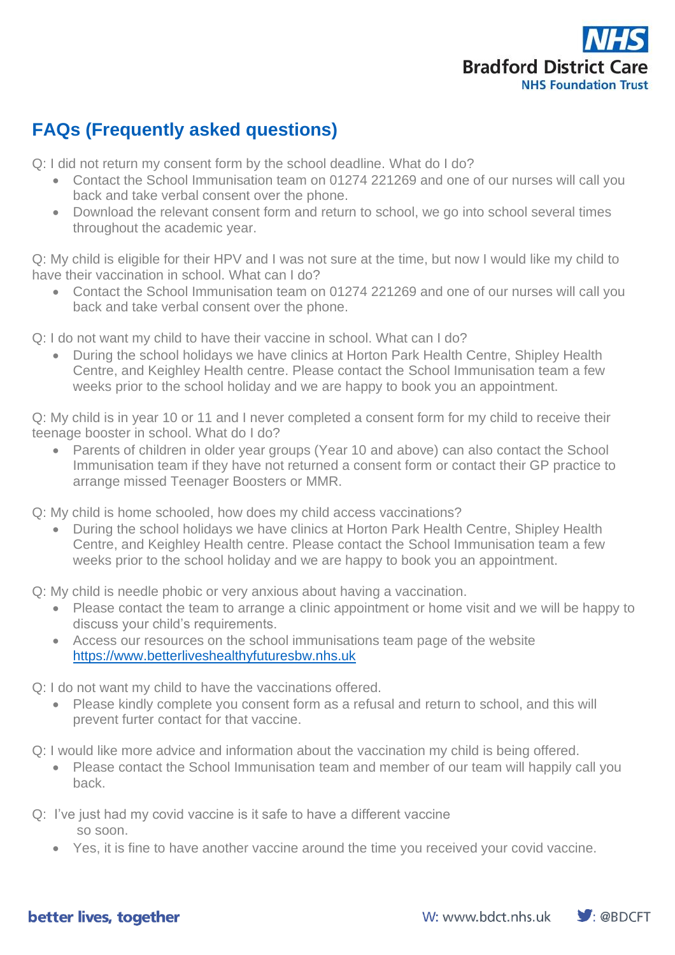

## **FAQs (Frequently asked questions)**

Q: I did not return my consent form by the school deadline. What do I do?

- Contact the School Immunisation team on 01274 221269 and one of our nurses will call you back and take verbal consent over the phone.
- Download the relevant consent form and return to school, we go into school several times throughout the academic year.

Q: My child is eligible for their HPV and I was not sure at the time, but now I would like my child to have their vaccination in school. What can I do?

• Contact the School Immunisation team on 01274 221269 and one of our nurses will call you back and take verbal consent over the phone.

Q: I do not want my child to have their vaccine in school. What can I do?

• During the school holidays we have clinics at Horton Park Health Centre, Shipley Health Centre, and Keighley Health centre. Please contact the School Immunisation team a few weeks prior to the school holiday and we are happy to book you an appointment.

Q: My child is in year 10 or 11 and I never completed a consent form for my child to receive their teenage booster in school. What do I do?

• Parents of children in older year groups (Year 10 and above) can also contact the School Immunisation team if they have not returned a consent form or contact their GP practice to arrange missed Teenager Boosters or MMR.

Q: My child is home schooled, how does my child access vaccinations?

• During the school holidays we have clinics at Horton Park Health Centre, Shipley Health Centre, and Keighley Health centre. Please contact the School Immunisation team a few weeks prior to the school holiday and we are happy to book you an appointment.

Q: My child is needle phobic or very anxious about having a vaccination.

- Please contact the team to arrange a clinic appointment or home visit and we will be happy to discuss your child's requirements.
- Access our resources on the school immunisations team page of the website [https://www.betterliveshealthyfuturesbw.nhs.uk](https://www.betterliveshealthyfuturesbw.nhs.uk/)
- Q: I do not want my child to have the vaccinations offered.
	- Please kindly complete you consent form as a refusal and return to school, and this will prevent furter contact for that vaccine.
- Q: I would like more advice and information about the vaccination my child is being offered.
	- Please contact the School Immunisation team and member of our team will happily call you back.
- Q: I've just had my covid vaccine is it safe to have a different vaccine so soon.
	- Yes, it is fine to have another vaccine around the time you received your covid vaccine.